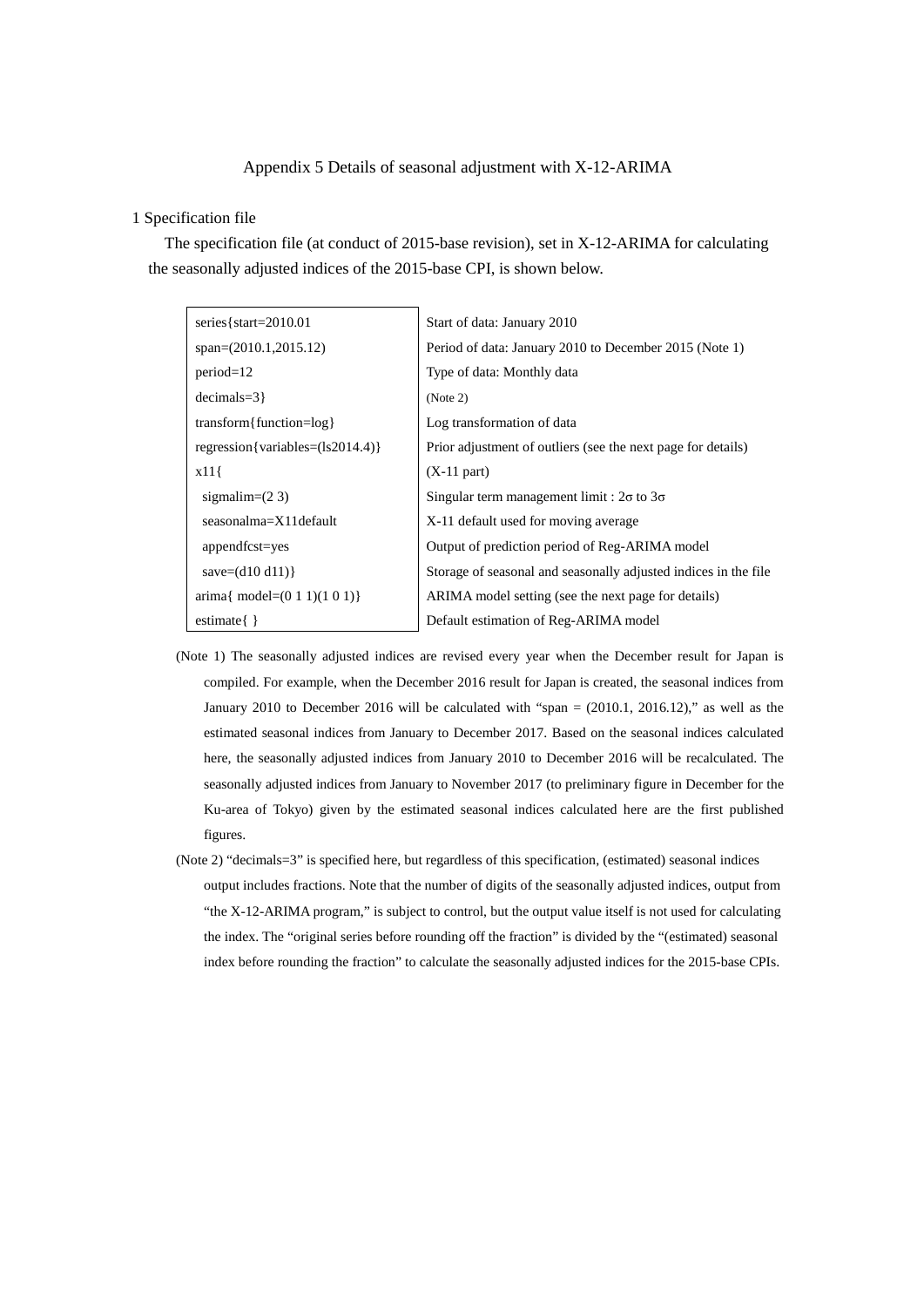# Appendix 5 Details of seasonal adjustment with X-12-ARIMA

#### 1 Specification file

The specification file (at conduct of 2015-base revision), set in X-12-ARIMA for calculating the seasonally adjusted indices of the 2015-base CPI, is shown below.

| series { $start=2010.01$          | Start of data: January 2010                                     |
|-----------------------------------|-----------------------------------------------------------------|
| $span=(2010.1,2015.12)$           | Period of data: January 2010 to December 2015 (Note 1)          |
| $period=12$                       | Type of data: Monthly data                                      |
| $decimals = 3$                    | (Note 2)                                                        |
| transform{function= $log$ }       | Log transformation of data                                      |
| regression {variables=(ls2014.4)} | Prior adjustment of outliers (see the next page for details)    |
| x11                               | $(X-11$ part)                                                   |
| sigmalim= $(2 3)$                 | Singular term management limit : $2\sigma$ to $3\sigma$         |
| seasonalma=X11default             | X-11 default used for moving average                            |
| appendfcst=yes                    | Output of prediction period of Reg-ARIMA model                  |
| save= $(d10 d11)$ }               | Storage of seasonal and seasonally adjusted indices in the file |
| arima{ model= $(0 1 1)(1 0 1)$ }  | ARIMA model setting (see the next page for details)             |
| estimate $\{\}$                   | Default estimation of Reg-ARIMA model                           |

- (Note 1) The seasonally adjusted indices are revised every year when the December result for Japan is compiled. For example, when the December 2016 result for Japan is created, the seasonal indices from January 2010 to December 2016 will be calculated with "span  $=$  (2010.1, 2016.12)," as well as the estimated seasonal indices from January to December 2017. Based on the seasonal indices calculated here, the seasonally adjusted indices from January 2010 to December 2016 will be recalculated. The seasonally adjusted indices from January to November 2017 (to preliminary figure in December for the Ku-area of Tokyo) given by the estimated seasonal indices calculated here are the first published figures.
- (Note 2) "decimals=3" is specified here, but regardless of this specification, (estimated) seasonal indices output includes fractions. Note that the number of digits of the seasonally adjusted indices, output from "the X-12-ARIMA program," is subject to control, but the output value itself is not used for calculating the index. The "original series before rounding off the fraction" is divided by the "(estimated) seasonal index before rounding the fraction" to calculate the seasonally adjusted indices for the 2015-base CPIs.